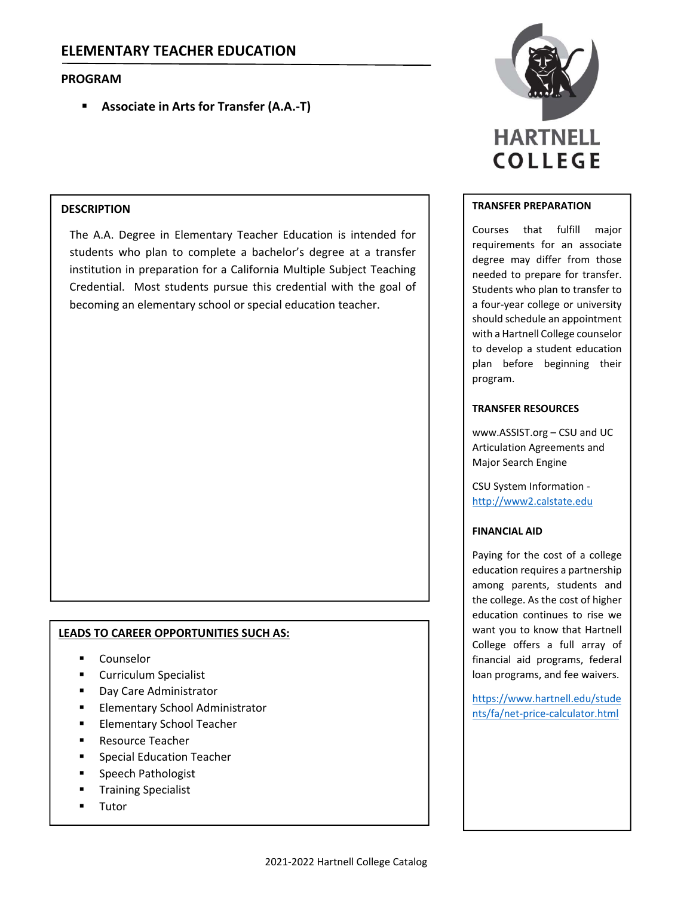# **PROGRAM**

**Associate in Arts for Transfer (A.A.‐T)**

### **DESCRIPTION**

The A.A. Degree in Elementary Teacher Education is intended for students who plan to complete a bachelor's degree at a transfer institution in preparation for a California Multiple Subject Teaching Credential. Most students pursue this credential with the goal of becoming an elementary school or special education teacher.

## **LEADS TO CAREER OPPORTUNITIES SUCH AS:**

- Counselor
- **E** Curriculum Specialist
- Day Care Administrator
- Elementary School Administrator
- Elementary School Teacher
- Resource Teacher
- Special Education Teacher
- Speech Pathologist
- Training Specialist
- Tutor



#### **TRANSFER PREPARATION**

Courses that fulfill major requirements for an associate degree may differ from those needed to prepare for transfer. Students who plan to transfer to a four‐year college or university should schedule an appointment with a Hartnell College counselor to develop a student education plan before beginning their program.

#### **TRANSFER RESOURCES**

www.ASSIST.org – CSU and UC Articulation Agreements and Major Search Engine

CSU System Information ‐ http://www2.calstate.edu

### **FINANCIAL AID**

Paying for the cost of a college education requires a partnership among parents, students and the college. As the cost of higher education continues to rise we want you to know that Hartnell College offers a full array of financial aid programs, federal loan programs, and fee waivers.

https://www.hartnell.edu/stude nts/fa/net‐price‐calculator.html